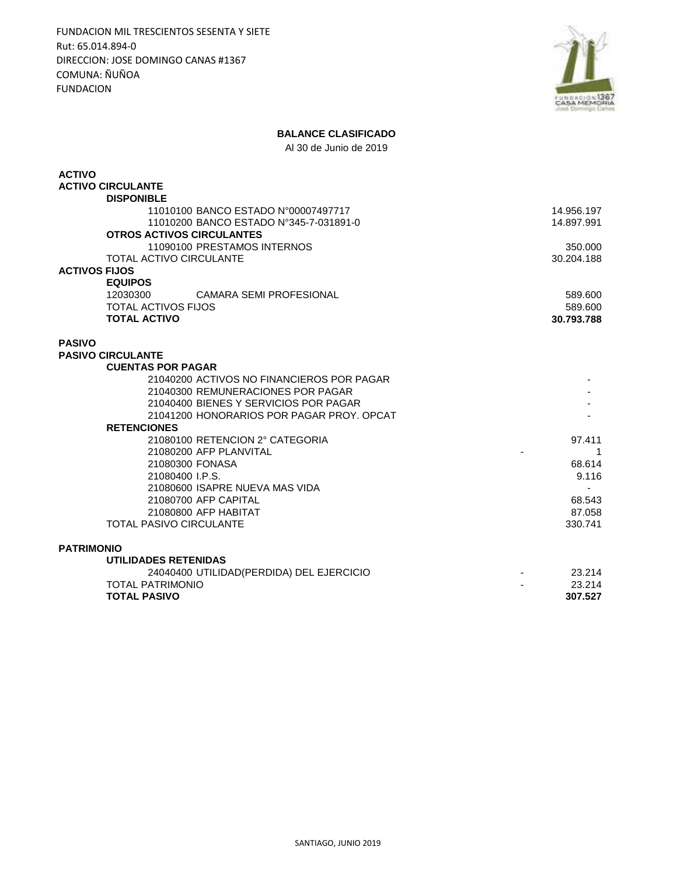FUNDACION MIL TRESCIENTOS SESENTA Y SIETE Rut: 65.014.894-0 DIRECCION: JOSE DOMINGO CANAS #1367 COMUNA: ÑUÑOA FUNDACION



## **BALANCE CLASIFICADO**

Al 30 de Junio de 2019

| <b>ACTIVO</b>                              |            |
|--------------------------------------------|------------|
| <b>ACTIVO CIRCULANTE</b>                   |            |
| <b>DISPONIBLE</b>                          |            |
| 11010100 BANCO ESTADO N°00007497717        | 14.956.197 |
| 11010200 BANCO ESTADO N°345-7-031891-0     | 14.897.991 |
| <b>OTROS ACTIVOS CIRCULANTES</b>           |            |
| 11090100 PRESTAMOS INTERNOS                | 350.000    |
| <b>TOTAL ACTIVO CIRCULANTE</b>             | 30.204.188 |
| <b>ACTIVOS FIJOS</b>                       |            |
| <b>EQUIPOS</b>                             |            |
| 12030300<br><b>CAMARA SEMI PROFESIONAL</b> | 589,600    |
| <b>TOTAL ACTIVOS FIJOS</b>                 | 589.600    |
| <b>TOTAL ACTIVO</b>                        | 30.793.788 |
| <b>PASIVO</b>                              |            |
| <b>PASIVO CIRCULANTE</b>                   |            |
| <b>CUENTAS POR PAGAR</b>                   |            |
| 21040200 ACTIVOS NO FINANCIEROS POR PAGAR  |            |
| 21040300 REMUNERACIONES POR PAGAR          |            |
| 21040400 BIENES Y SERVICIOS POR PAGAR      |            |
| 21041200 HONORARIOS POR PAGAR PROY, OPCAT  |            |
| <b>RETENCIONES</b>                         |            |
| 21080100 RETENCION 2° CATEGORIA            | 97.411     |
| 21080200 AFP PLANVITAL                     | 1          |
| 21080300 FONASA                            | 68.614     |
| 21080400 I.P.S.                            | 9.116      |
| 21080600 ISAPRE NUEVA MAS VIDA             |            |
| 21080700 AFP CAPITAL                       | 68.543     |
| 21080800 AFP HABITAT                       | 87.058     |
| <b>TOTAL PASIVO CIRCULANTE</b>             | 330.741    |
| <b>PATRIMONIO</b>                          |            |
| <b>UTILIDADES RETENIDAS</b>                |            |
| 24040400 UTILIDAD(PERDIDA) DEL EJERCICIO   | 23.214     |
| <b>TOTAL PATRIMONIO</b>                    | 23.214     |
| <b>TOTAL PASIVO</b>                        | 307.527    |